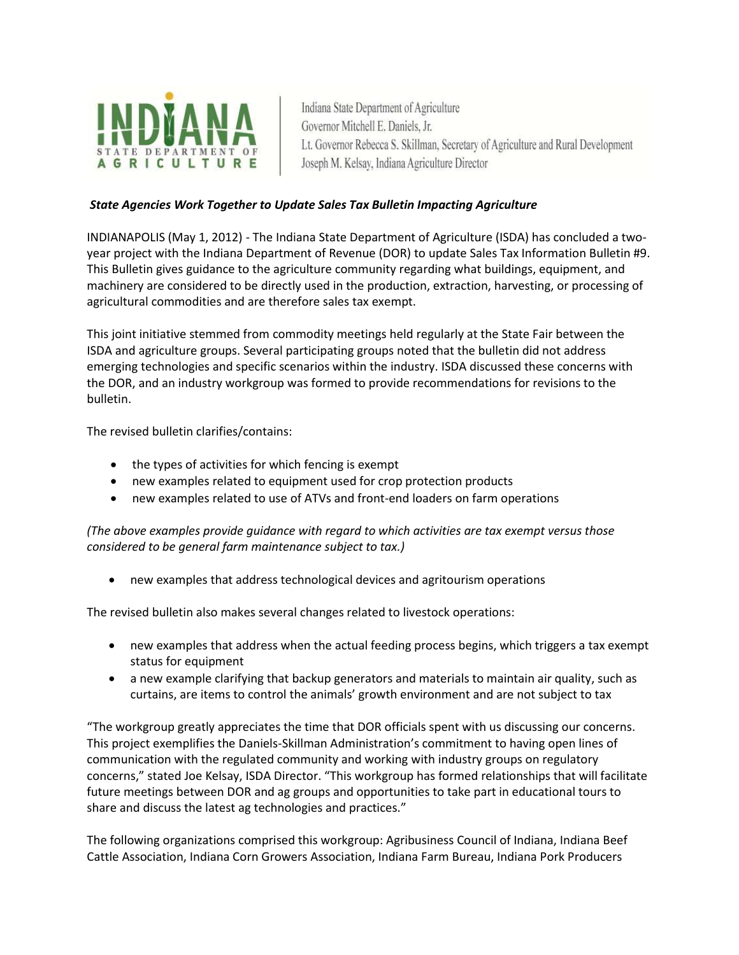

Indiana State Department of Agriculture Governor Mitchell E. Daniels, Jr. Lt. Governor Rebecca S. Skillman, Secretary of Agriculture and Rural Development Joseph M. Kelsay, Indiana Agriculture Director

## *State Agencies Work Together to Update Sales Tax Bulletin Impacting Agriculture*

INDIANAPOLIS (May 1, 2012) - The Indiana State Department of Agriculture (ISDA) has concluded a twoyear project with the Indiana Department of Revenue (DOR) to update Sales Tax Information Bulletin #9. This Bulletin gives guidance to the agriculture community regarding what buildings, equipment, and machinery are considered to be directly used in the production, extraction, harvesting, or processing of agricultural commodities and are therefore sales tax exempt.

This joint initiative stemmed from commodity meetings held regularly at the State Fair between the ISDA and agriculture groups. Several participating groups noted that the bulletin did not address emerging technologies and specific scenarios within the industry. ISDA discussed these concerns with the DOR, and an industry workgroup was formed to provide recommendations for revisions to the bulletin.

The revised bulletin clarifies/contains:

- the types of activities for which fencing is exempt
- new examples related to equipment used for crop protection products
- new examples related to use of ATVs and front-end loaders on farm operations

*(The above examples provide guidance with regard to which activities are tax exempt versus those considered to be general farm maintenance subject to tax.)*

new examples that address technological devices and agritourism operations

The revised bulletin also makes several changes related to livestock operations:

- new examples that address when the actual feeding process begins, which triggers a tax exempt status for equipment
- a new example clarifying that backup generators and materials to maintain air quality, such as curtains, are items to control the animals' growth environment and are not subject to tax

"The workgroup greatly appreciates the time that DOR officials spent with us discussing our concerns. This project exemplifies the Daniels-Skillman Administration's commitment to having open lines of communication with the regulated community and working with industry groups on regulatory concerns," stated Joe Kelsay, ISDA Director. "This workgroup has formed relationships that will facilitate future meetings between DOR and ag groups and opportunities to take part in educational tours to share and discuss the latest ag technologies and practices."

The following organizations comprised this workgroup: Agribusiness Council of Indiana, Indiana Beef Cattle Association, Indiana Corn Growers Association, Indiana Farm Bureau, Indiana Pork Producers